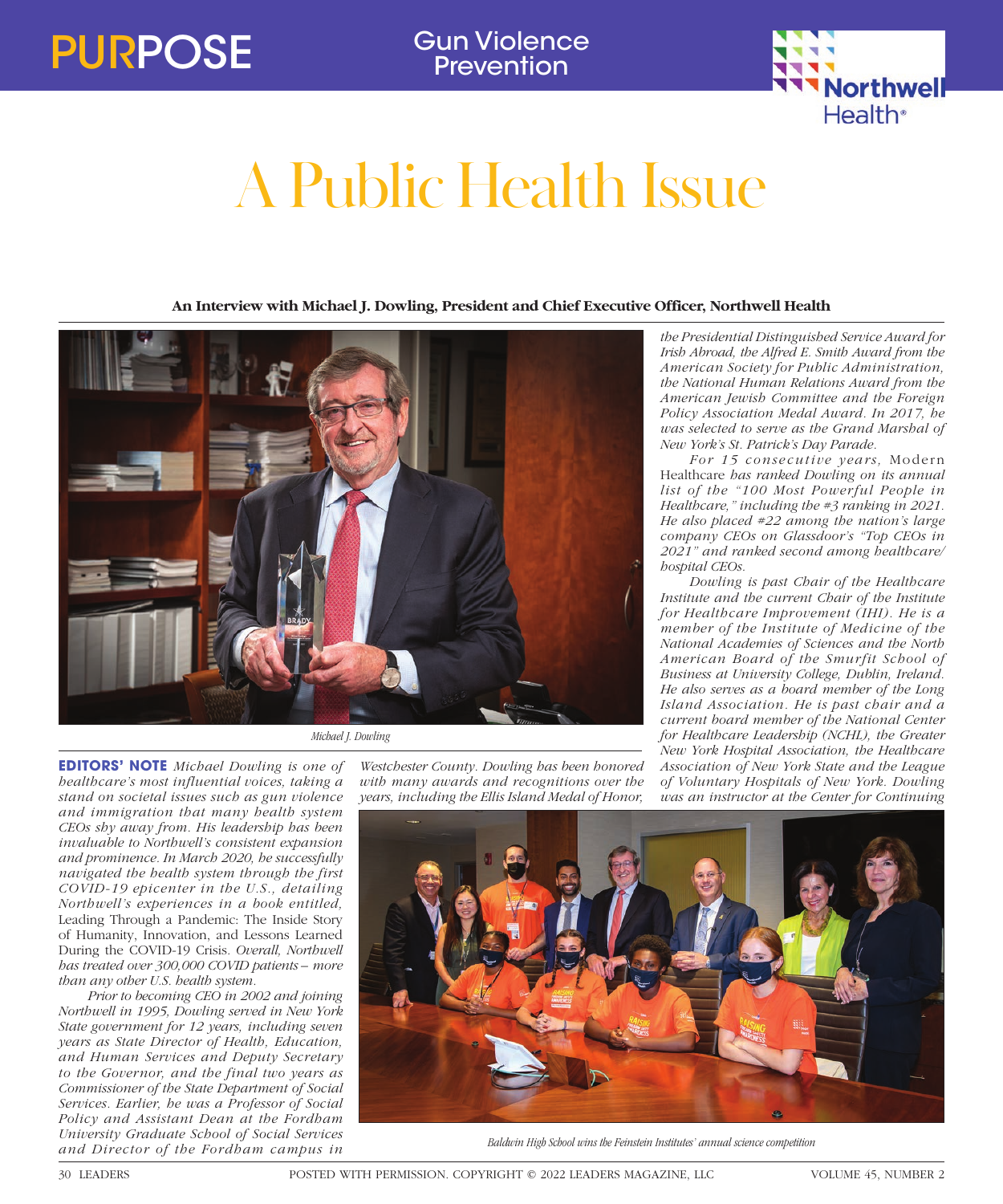**Prevention** 



## A Public Health Issue

**An Interview with Michael J. Dowling, President and Chief Executive Officer, Northwell Health**



**EDITORS' NOTE** *Michael Dowling is one of healthcare's most influential voices, taking a stand on societal issues such as gun violence and immigration that many health system CEOs shy away from. His leadership has been invaluable to Northwell's consistent expansion and prominence. In March 2020, he successfully navigated the health system through the first COVID-19 epicenter in the U.S., detailing Northwell's experiences in a book entitled,*  Leading Through a Pandemic: The Inside Story of Humanity, Innovation, and Lessons Learned During the COVID-19 Crisis*. Overall, Northwell has treated over 300,000 COVID patients – more than any other U.S. health system.*

*Prior to becoming CEO in 2002 and joining Northwell in 1995, Dowling served in New York State government for 12 years, including seven years as State Director of Health, Education, and Human Services and Deputy Secretary to the Governor, and the final two years as Commissioner of the State Department of Social Services. Earlier, he was a Professor of Social Policy and Assistant Dean at the Fordham University Graduate School of Social Services and Director of the Fordham campus in* 

*Westchester County. Dowling has been honored with many awards and recognitions over the years, including the Ellis Island Medal of Honor,* 

*the Presidential Distinguished Service Award for Irish Abroad, the Alfred E. Smith Award from the American Society for Public Administration, the National Human Relations Award from the American Jewish Committee and the Foreign Policy Association Medal Award. In 2017, he was selected to serve as the Grand Marshal of New York's St. Patrick's Day Parade.*

*For 15 consecutive years,* Modern Healthcare *has ranked Dowling on its annual list of the "100 Most Powerful People in Healthcare," including the #3 ranking in 2021. He also placed #22 among the nation's large company CEOs on Glassdoor's "Top CEOs in 2021" and ranked second among healthcare/ hospital CEOs.* 

*Dowling is past Chair of the Healthcare Institute and the current Chair of the Institute for Healthcare Improvement (IHI). He is a member of the Institute of Medicine of the National Academies of Sciences and the North American Board of the Smurfit School of Business at University College, Dublin, Ireland. He also serves as a board member of the Long Island Association. He is past chair and a current board member of the National Center for Healthcare Leadership (NCHL), the Greater New York Hospital Association, the Healthcare Association of New York State and the League of Voluntary Hospitals of New York. Dowling was an instructor at the Center for Continuing* 



*Baldwin High School wins the Feinstein Institutes' annual science competition*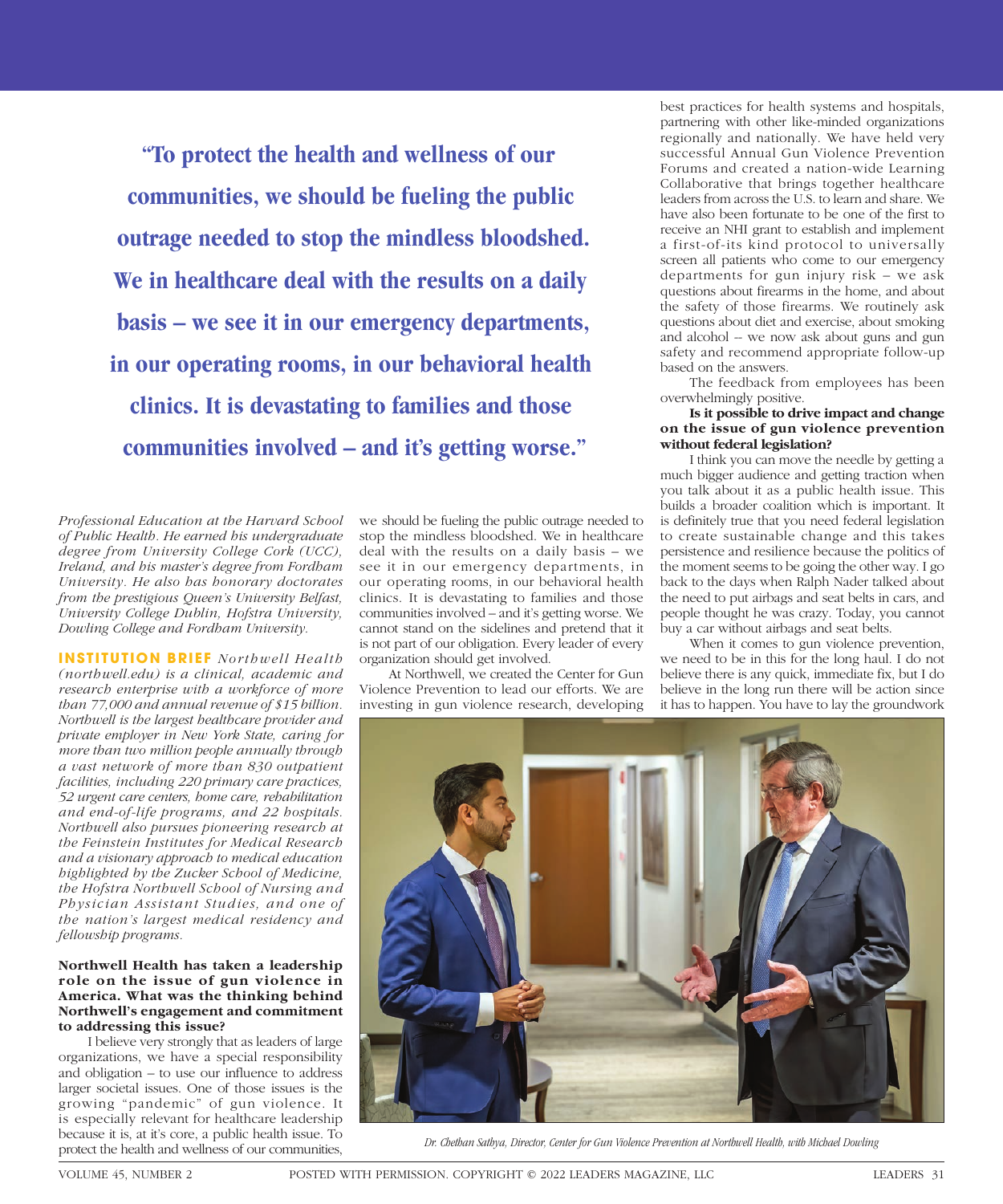**"To protect the health and wellness of our communities, we should be fueling the public outrage needed to stop the mindless bloodshed. We in healthcare deal with the results on a daily basis – we see it in our emergency departments, in our operating rooms, in our behavioral health clinics. It is devastating to families and those communities involved – and it's getting worse."**

*Professional Education at the Harvard School of Public Health. He earned his undergraduate degree from University College Cork (UCC), Ireland, and his master's degree from Fordham University. He also has honorary doctorates from the prestigious Queen's University Belfast, University College Dublin, Hofstra University, Dowling College and Fordham University.*

**INSTITUTION BRIEF** *Northwell Health (northwell.edu) is a clinical, academic and research enterprise with a workforce of more than 77,000 and annual revenue of \$15 billion. Northwell is the largest healthcare provider and private employer in New York State, caring for more than two million people annually through a vast network of more than 830 outpatient facilities, including 220 primary care practices, 52 urgent care centers, home care, rehabilitation and end-of-life programs, and 22 hospitals. Northwell also pursues pioneering research at the Feinstein Institutes for Medical Research and a visionary approach to medical education highlighted by the Zucker School of Medicine, the Hofstra Northwell School of Nursing and Physician Assistant Studies, and one of the nation's largest medical residency and fellowship programs.*

## **Northwell Health has taken a leadership role on the issue of gun violence in America. What was the thinking behind Northwell's engagement and commitment to addressing this issue?**

I believe very strongly that as leaders of large organizations, we have a special responsibility and obligation – to use our influence to address larger societal issues. One of those issues is the growing "pandemic" of gun violence. It is especially relevant for healthcare leadership because it is, at it's core, a public health issue. To protect the health and wellness of our communities,

we should be fueling the public outrage needed to stop the mindless bloodshed. We in healthcare deal with the results on a daily basis – we see it in our emergency departments, in our operating rooms, in our behavioral health clinics. It is devastating to families and those communities involved – and it's getting worse. We cannot stand on the sidelines and pretend that it is not part of our obligation. Every leader of every organization should get involved.

At Northwell, we created the Center for Gun Violence Prevention to lead our efforts. We are investing in gun violence research, developing

best practices for health systems and hospitals, partnering with other like-minded organizations regionally and nationally. We have held very successful Annual Gun Violence Prevention Forums and created a nation-wide Learning Collaborative that brings together healthcare leaders from across the U.S. to learn and share. We have also been fortunate to be one of the first to receive an NHI grant to establish and implement a first-of-its kind protocol to universally screen all patients who come to our emergency departments for gun injury risk – we ask questions about firearms in the home, and about the safety of those firearms. We routinely ask questions about diet and exercise, about smoking and alcohol -- we now ask about guns and gun safety and recommend appropriate follow-up based on the answers.

The feedback from employees has been overwhelmingly positive.

## **Is it possible to drive impact and change on the issue of gun violence prevention without federal legislation?**

I think you can move the needle by getting a much bigger audience and getting traction when you talk about it as a public health issue. This builds a broader coalition which is important. It is definitely true that you need federal legislation to create sustainable change and this takes persistence and resilience because the politics of the moment seems to be going the other way. I go back to the days when Ralph Nader talked about the need to put airbags and seat belts in cars, and people thought he was crazy. Today, you cannot buy a car without airbags and seat belts.

When it comes to gun violence prevention, we need to be in this for the long haul. I do not believe there is any quick, immediate fix, but I do believe in the long run there will be action since it has to happen. You have to lay the groundwork



*Dr. Chethan Sathya, Director, Center for Gun Violence Prevention at Northwell Health, with Michael Dowling*